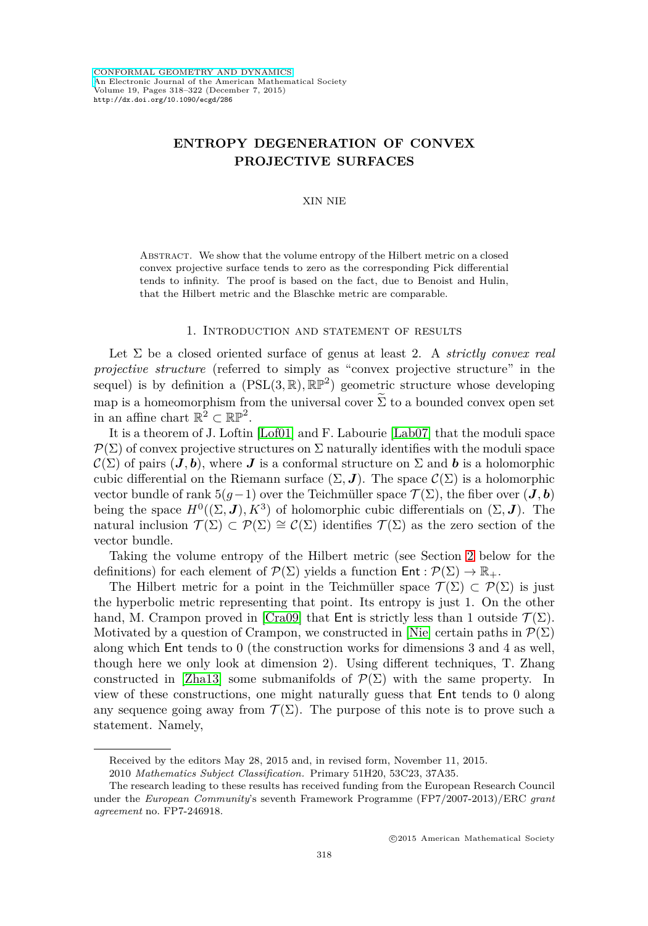# **ENTROPY DEGENERATION OF CONVEX PROJECTIVE SURFACES**

XIN NIE

Abstract. We show that the volume entropy of the Hilbert metric on a closed convex projective surface tends to zero as the corresponding Pick differential tends to infinity. The proof is based on the fact, due to Benoist and Hulin, that the Hilbert metric and the Blaschke metric are comparable.

#### 1. Introduction and statement of results

Let Σ be a closed oriented surface of genus at least 2. A *strictly convex real projective structure* (referred to simply as "convex projective structure" in the sequel) is by definition a  $(PSL(3,\mathbb{R}), \mathbb{RP}^2)$  geometric structure whose developing map is a homeomorphism from the universal cover  $\Sigma$  to a bounded convex open set in an affine chart  $\mathbb{R}^2 \subset \mathbb{RP}^2$ .

It is a theorem of J. Loftin [\[Lof01\]](#page-4-0) and F. Labourie [\[Lab07\]](#page-4-1) that the moduli space  $\mathcal{P}(\Sigma)$  of convex projective structures on  $\Sigma$  naturally identifies with the moduli space  $\mathcal{C}(\Sigma)$  of pairs  $(J, b)$ , where  $J$  is a conformal structure on  $\Sigma$  and  $b$  is a holomorphic cubic differential on the Riemann surface  $(\Sigma, \mathbf{J})$ . The space  $\mathcal{C}(\Sigma)$  is a holomorphic vector bundle of rank  $5(g-1)$  over the Teichmüller space  $\mathcal{T}(\Sigma)$ , the fiber over  $(\mathbf{J}, \mathbf{b})$ being the space  $H^0((\Sigma, J), K^3)$  of holomorphic cubic differentials on  $(\Sigma, J)$ . The natural inclusion  $\mathcal{T}(\Sigma) \subset \mathcal{P}(\Sigma) \cong \mathcal{C}(\Sigma)$  identifies  $\mathcal{T}(\Sigma)$  as the zero section of the vector bundle.

Taking the volume entropy of the Hilbert metric (see Section [2](#page-1-0) below for the definitions) for each element of  $\mathcal{P}(\Sigma)$  yields a function  $\mathsf{Ent} : \mathcal{P}(\Sigma) \to \mathbb{R}_+$ .

The Hilbert metric for a point in the Teichmüller space  $\mathcal{T}(\Sigma) \subset \mathcal{P}(\Sigma)$  is just the hyperbolic metric representing that point. Its entropy is just 1. On the other hand, M. Crampon proved in [\[Cra09\]](#page-4-2) that Ent is strictly less than 1 outside  $\mathcal{T}(\Sigma)$ . Motivated by a question of Crampon, we constructed in [\[Nie\]](#page-4-3) certain paths in  $\mathcal{P}(\Sigma)$ along which Ent tends to 0 (the construction works for dimensions 3 and 4 as well, though here we only look at dimension 2). Using different techniques, T. Zhang constructed in [\[Zha13\]](#page-4-4) some submanifolds of  $\mathcal{P}(\Sigma)$  with the same property. In view of these constructions, one might naturally guess that Ent tends to 0 along any sequence going away from  $\mathcal{T}(\Sigma)$ . The purpose of this note is to prove such a statement. Namely,

Received by the editors May 28, 2015 and, in revised form, November 11, 2015.

<sup>2010</sup> *Mathematics Subject Classification.* Primary 51H20, 53C23, 37A35.

The research leading to these results has received funding from the European Research Council under the *European Community*'s seventh Framework Programme (FP7/2007-2013)/ERC *grant agreement* no. FP7-246918.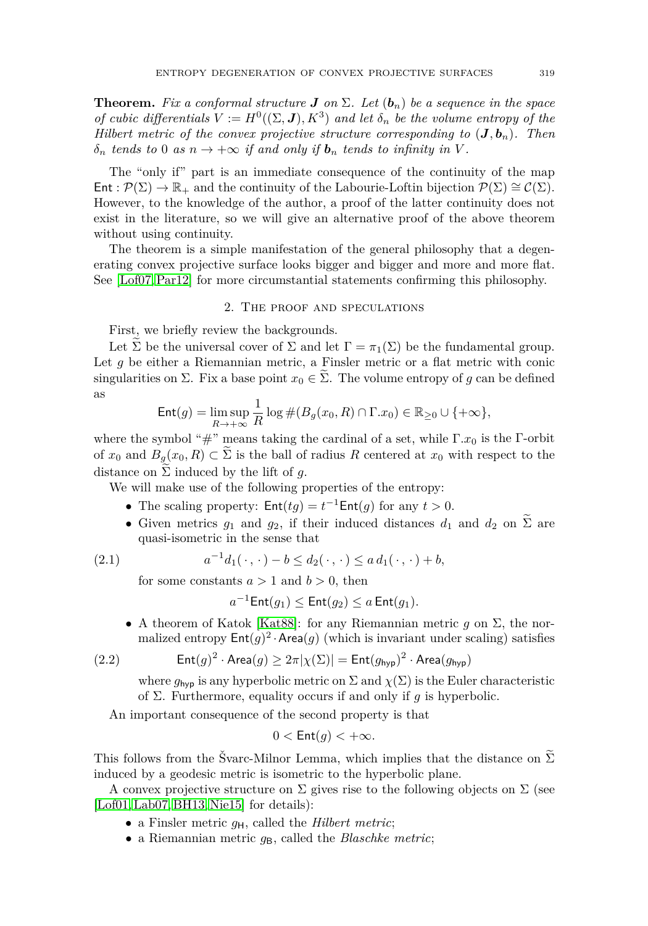**Theorem.** *Fix a conformal structure J on*  $\Sigma$ *. Let*  $(b_n)$  *be a sequence in the space of cubic differentials*  $V := H^0((\Sigma, \mathbf{J}), K^3)$  *and let*  $\delta_n$  *be the volume entropy of the Hilbert metric of the convex projective structure corresponding to*  $(J, b_n)$ *. Then*  $\delta_n$  *tends to* 0 *as*  $n \to +\infty$  *if and only if*  $\mathbf{b}_n$  *tends to infinity in V*.

The "only if" part is an immediate consequence of the continuity of the map  $\text{Ent}: \mathcal{P}(\Sigma) \to \mathbb{R}_+$  and the continuity of the Labourie-Loftin bijection  $\mathcal{P}(\Sigma) \cong \mathcal{C}(\Sigma)$ . However, to the knowledge of the author, a proof of the latter continuity does not exist in the literature, so we will give an alternative proof of the above theorem without using continuity.

The theorem is a simple manifestation of the general philosophy that a degenerating convex projective surface looks bigger and bigger and more and more flat. See [\[Lof07,](#page-4-5)[Par12\]](#page-4-6) for more circumstantial statements confirming this philosophy.

## 2. The proof and speculations

<span id="page-1-0"></span>First, we briefly review the backgrounds.

Let  $\Sigma$  be the universal cover of  $\Sigma$  and let  $\Gamma = \pi_1(\Sigma)$  be the fundamental group. Let *g* be either a Riemannian metric, a Finsler metric or a flat metric with conic singularities on  $\Sigma$ . Fix a base point  $x_0 \in \Sigma$ . The volume entropy of g can be defined as

$$
\mathsf{Ent}(g) = \limsup_{R \to +\infty} \frac{1}{R} \log \#(B_g(x_0, R) \cap \Gamma.x_0) \in \mathbb{R}_{\geq 0} \cup \{+\infty\},\
$$

where the symbol "#" means taking the cardinal of a set, while Γ*.x*<sup>0</sup> is the Γ-orbit of  $x_0$  and  $B_g(x_0, R) \subset \Sigma$  is the ball of radius R centered at  $x_0$  with respect to the distance on  $\Sigma$  induced by the lift of g.

We will make use of the following properties of the entropy:

- The scaling property:  $\text{Ent}(tg) = t^{-1} \text{Ent}(g)$  for any  $t > 0$ .
- Given metrics  $g_1$  and  $g_2$ , if their induced distances  $d_1$  and  $d_2$  on  $\Sigma$  are quasi-isometric in the sense that

<span id="page-1-1"></span>(2.1) 
$$
a^{-1}d_1(\cdot,\cdot)-b\leq d_2(\cdot,\cdot)\leq a d_1(\cdot,\cdot)+b,
$$

for some constants  $a > 1$  and  $b > 0$ , then

$$
a^{-1}\mathsf{Ent}(g_1) \le \mathsf{Ent}(g_2) \le a \mathsf{Ent}(g_1).
$$

• A theorem of Katok [\[Kat88\]](#page-4-7): for any Riemannian metric  $g$  on  $\Sigma$ , the normalized entropy  $Ent(g)^2 \cdot Area(g)$  (which is invariant under scaling) satisfies

<span id="page-1-2"></span>(2.2) 
$$
Ent(g)^2 \cdot Area(g) \geq 2\pi |\chi(\Sigma)| = Ent(g_{hyp})^2 \cdot Area(g_{hyp})
$$

where  $g_{\text{hyp}}$  is any hyperbolic metric on  $\Sigma$  and  $\chi(\Sigma)$  is the Euler characteristic of Σ. Furthermore, equality occurs if and only if *g* is hyperbolic.

An important consequence of the second property is that

$$
0 < \mathsf{Ent}(g) < +\infty.
$$

This follows from the Švarc-Milnor Lemma, which implies that the distance on  $\tilde{\Sigma}$ induced by a geodesic metric is isometric to the hyperbolic plane.

A convex projective structure on  $\Sigma$  gives rise to the following objects on  $\Sigma$  (see [\[Lof01,](#page-4-0) [Lab07,](#page-4-1) [BH13,](#page-4-8) [Nie15\]](#page-4-9) for details):

- a Finsler metric  $q_H$ , called the *Hilbert metric*;
- a Riemannian metric  $q_B$ , called the *Blaschke metric*;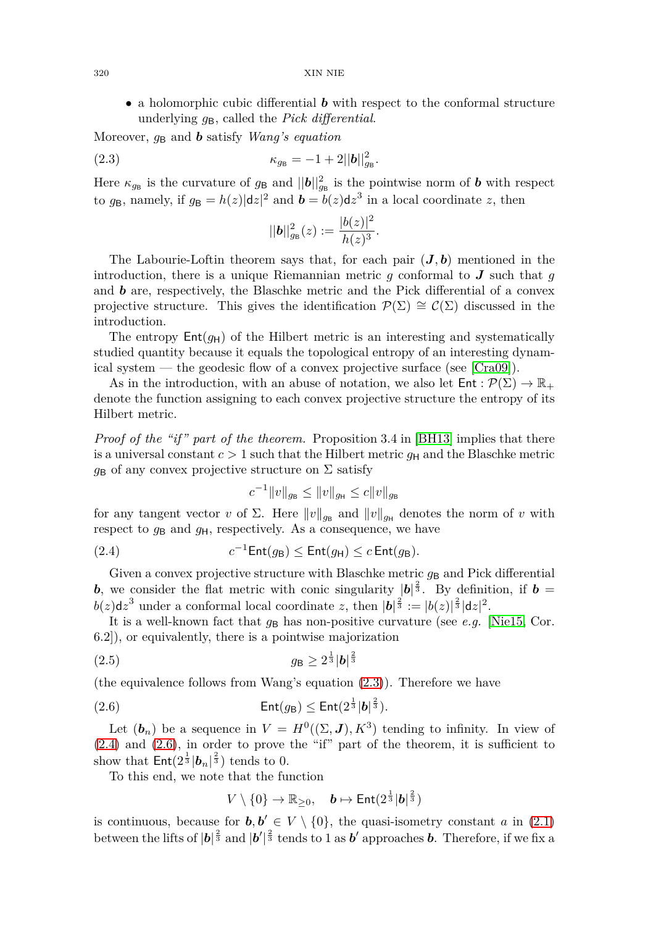• a holomorphic cubic differential *b* with respect to the conformal structure underlying *g*B, called the *Pick differential*.

Moreover,  $q_B$  and *b* satisfy *Wang's equation* 

<span id="page-2-0"></span>(2.3) 
$$
\kappa_{g_{\rm B}} = -1 + 2||\mathbf{b}||_{g_{\rm B}}^2.
$$

Here  $\kappa_{g_{\rm B}}$  is the curvature of  $g_{\rm B}$  and  $||\boldsymbol{b}||_{g_{\rm B}}^2$  is the pointwise norm of  $\boldsymbol{b}$  with respect to  $g_B$ , namely, if  $g_B = h(z)|dz|^2$  and  $\boldsymbol{b} = b(z)dz^3$  in a local coordinate *z*, then

$$
||\boldsymbol{b}||_{g_{\text{B}}}^{2}(z):=\frac{|b(z)|^{2}}{h(z)^{3}}.
$$

The Labourie-Loftin theorem says that, for each pair  $(J, b)$  mentioned in the introduction, there is a unique Riemannian metric *g* conformal to *J* such that *g* and *b* are, respectively, the Blaschke metric and the Pick differential of a convex projective structure. This gives the identification  $\mathcal{P}(\Sigma) \cong \mathcal{C}(\Sigma)$  discussed in the introduction.

The entropy  $Ent(g_H)$  of the Hilbert metric is an interesting and systematically studied quantity because it equals the topological entropy of an interesting dynamical system — the geodesic flow of a convex projective surface (see [\[Cra09\]](#page-4-2)).

As in the introduction, with an abuse of notation, we also let  $Ent : \mathcal{P}(\Sigma) \to \mathbb{R}_+$ denote the function assigning to each convex projective structure the entropy of its Hilbert metric.

*Proof of the "if" part of the theorem.* Proposition 3.4 in [\[BH13\]](#page-4-8) implies that there is a universal constant  $c > 1$  such that the Hilbert metric  $g_H$  and the Blaschke metric  $g_B$  of any convex projective structure on  $\Sigma$  satisfy

$$
c^{-1} \|v\|_{g_{\mathsf B}} \le \|v\|_{g_{\mathsf H}} \le c \|v\|_{g_{\mathsf B}}
$$

for any tangent vector *v* of  $\Sigma$ . Here  $\|v\|_{g_{\mathbf{B}}}$  and  $\|v\|_{g_{\mathbf{H}}}$  denotes the norm of *v* with respect to  $g_B$  and  $g_H$ , respectively. As a consequence, we have

<span id="page-2-1"></span>(2.4) 
$$
c^{-1} \text{Ent}(g_{\text{B}}) \leq \text{Ent}(g_{\text{H}}) \leq c \text{Ent}(g_{\text{B}}).
$$

Given a convex projective structure with Blaschke metric  $g_B$  and Pick differential *b*, we consider the flat metric with conic singularity  $|b|^{\frac{2}{3}}$ . By definition, if *b* =  $b(z)dz^3$  under a conformal local coordinate *z*, then  $|\mathbf{b}|^{\frac{2}{3}} := |b(z)|^{\frac{2}{3}} |\mathbf{d}z|^2$ .

It is a well-known fact that  $g_B$  has non-positive curvature (see *e.g.* [\[Nie15,](#page-4-9) Cor.] 6.2]), or equivalently, there is a pointwise majorization

<span id="page-2-3"></span>
$$
(2.5) \t\t\t g_B \ge 2^{\frac{1}{3}} |b|^{\frac{2}{3}}
$$

(the equivalence follows from Wang's equation [\(2.3\)](#page-2-0)). Therefore we have

<span id="page-2-2"></span>(2.6) 
$$
\operatorname{Ent}(g_{\mathsf{B}}) \leq \operatorname{Ent}(2^{\frac{1}{3}}|\mathbf{b}|^{\frac{2}{3}}).
$$

Let  $(b_n)$  be a sequence in  $V = H^0((\Sigma, J), K^3)$  tending to infinity. In view of [\(2.4\)](#page-2-1) and [\(2.6\)](#page-2-2), in order to prove the "if" part of the theorem, it is sufficient to show that  $\mathsf{Ent}(2^{\frac{1}{3}}|\boldsymbol{b}_n|^{\frac{2}{3}})$  tends to 0.

To this end, we note that the function

$$
V \setminus \{0\} \to \mathbb{R}_{\geq 0}, \quad \mathbf{b} \mapsto \mathsf{Ent}(2^{\frac{1}{3}}|\mathbf{b}|^{\frac{2}{3}})
$$

is continuous, because for  $b, b' \in V \setminus \{0\}$ , the quasi-isometry constant *a* in [\(2.1\)](#page-1-1) between the lifts of  $|\boldsymbol{b}|^{\frac{2}{3}}$  and  $|\boldsymbol{b}'|^{\frac{2}{3}}$  tends to 1 as  $\boldsymbol{b}'$  approaches  $\boldsymbol{b}$ . Therefore, if we fix a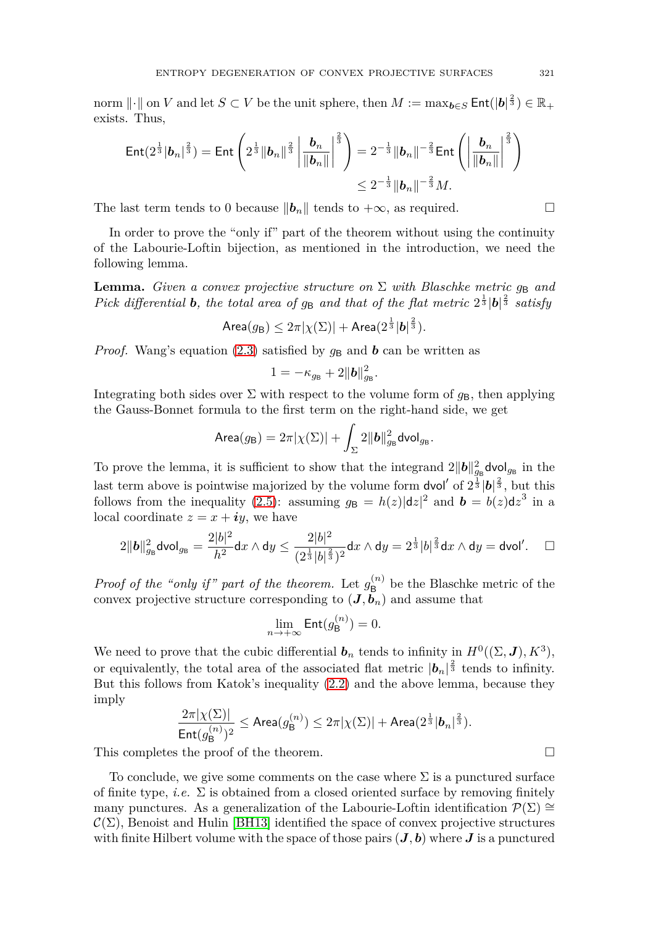$\text{norm } || \cdot || \text{ on } V \text{ and let } S \subset V \text{ be the unit sphere, then } M := \max_{\bm{b} \in S} \mathsf{Ent}(|\bm{b}|^{\frac{2}{3}}) \in \mathbb{R}_+$ exists. Thus,

$$
\text{Ent}(2^{\frac{1}{3}}|\boldsymbol{b}_n|^{\frac{2}{3}}) = \text{Ent}\left(2^{\frac{1}{3}}\|\boldsymbol{b}_n\|^{\frac{2}{3}}\left|\frac{\boldsymbol{b}_n}{\|\boldsymbol{b}_n\|}\right|^{\frac{2}{3}}\right) = 2^{-\frac{1}{3}}\|\boldsymbol{b}_n\|^{-\frac{2}{3}}\text{Ent}\left(\left|\frac{\boldsymbol{b}_n}{\|\boldsymbol{b}_n\|}\right|^{\frac{2}{3}}\right) \leq 2^{-\frac{1}{3}}\|\boldsymbol{b}_n\|^{-\frac{2}{3}}M.
$$

The last term tends to 0 because  $||b_n||$  tends to  $+\infty$ , as required.  $\Box$ 

In order to prove the "only if" part of the theorem without using the continuity of the Labourie-Loftin bijection, as mentioned in the introduction, we need the following lemma.

**Lemma.** *Given a convex projective structure on*  $\Sigma$  *with Blaschke metric*  $g_B$  *and Pick differential b, the total area of*  $g_B$  *and that of the flat metric*  $2^{\frac{1}{3}}|\mathbf{b}|^{\frac{2}{3}}$  *satisfy* 

$$
\operatorname{Area}(g_{\mathsf{B}}) \leq 2\pi |\chi(\Sigma)| + \operatorname{Area}(2^{\frac{1}{3}} |\boldsymbol{b}|^{\frac{2}{3}}).
$$

*Proof.* Wang's equation [\(2.3\)](#page-2-0) satisfied by  $g_B$  and **b** can be written as

$$
1=-\kappa_{g_{\rm B}}+2\|\boldsymbol{b}\|_{g_{\rm B}}^2.
$$

Integrating both sides over  $\Sigma$  with respect to the volume form of  $g_B$ , then applying the Gauss-Bonnet formula to the first term on the right-hand side, we get

$$
\text{Area}(g_{\text{B}}) = 2\pi |\chi(\Sigma)| + \int_{\Sigma} 2||\boldsymbol{b}||_{g_{\text{B}}}^2 \text{dvol}_{g_{\text{B}}}.
$$

To prove the lemma, it is sufficient to show that the integrand  $2||b||_{g_{\text{B}}}^2$  dvol<sub>g<sub>B</sub></sub> in the last term above is pointwise majorized by the volume form  $\frac{d}{d}$  of  $2^{\frac{1}{3}}$  |**b**| $\frac{2}{3}$ , but this follows from the inequality [\(2.5\)](#page-2-3): assuming  $g_B = h(z)|dz|^2$  and  $\mathbf{b} = b(z)dz^3$  in a local coordinate  $z = x + iy$ , we have

$$
2||\mathbf{b}||_{g_{\mathsf{B}}}^2 \mathsf{dvol}_{g_{\mathsf{B}}} = \frac{2|b|^2}{h^2} \mathsf{d}x \wedge \mathsf{d}y \le \frac{2|b|^2}{(2^{\frac{1}{3}}|b|^{\frac{2}{3}})^2} \mathsf{d}x \wedge \mathsf{d}y = 2^{\frac{1}{3}}|b|^{\frac{2}{3}} \mathsf{d}x \wedge \mathsf{d}y = \mathsf{dvol}'. \quad \Box
$$

*Proof of the "only if" part of the theorem.* Let  $g_{\mathsf{B}}^{(n)}$  be the Blaschke metric of the convex projective structure corresponding to  $(J, b_n)$  and assume that

$$
\lim_{n \to +\infty} \mathsf{Ent}(g_{\mathsf{B}}^{(n)}) = 0.
$$

We need to prove that the cubic differential  $\mathbf{b}_n$  tends to infinity in  $H^0((\Sigma, \mathbf{J}), K^3)$ , or equivalently, the total area of the associated flat metric  $|b_n|^{\frac{2}{3}}$  tends to infinity. But this follows from Katok's inequality [\(2.2\)](#page-1-2) and the above lemma, because they imply

$$
\frac{2\pi |\chi(\Sigma)|}{\mathsf{Ent}(g^{(n)}_\mathsf{B})^2}\leq \mathsf{Area}(g^{(n)}_\mathsf{B})\leq 2\pi |\chi(\Sigma)| + \mathsf{Area}(2^{\frac{1}{3}}|\boldsymbol{b}_n|^{\frac{2}{3}}).
$$

This completes the proof of the theorem.  $\Box$ 

To conclude, we give some comments on the case where  $\Sigma$  is a punctured surface of finite type, *i.e.*  $\Sigma$  is obtained from a closed oriented surface by removing finitely many punctures. As a generalization of the Labourie-Loftin identification  $\mathcal{P}(\Sigma) \cong$  $\mathcal{C}(\Sigma)$ , Benoist and Hulin [\[BH13\]](#page-4-8) identified the space of convex projective structures with finite Hilbert volume with the space of those pairs  $(\mathbf{J},\mathbf{b})$  where  $\mathbf{J}$  is a punctured